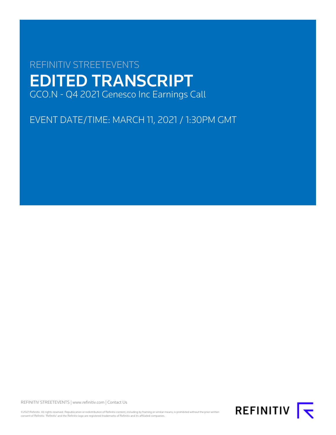# REFINITIV STREETEVENTS EDITED TRANSCRIPT GCO.N - Q4 2021 Genesco Inc Earnings Call

EVENT DATE/TIME: MARCH 11, 2021 / 1:30PM GMT

REFINITIV STREETEVENTS | [www.refinitiv.com](https://www.refinitiv.com/) | [Contact Us](https://www.refinitiv.com/en/contact-us)

©2021 Refinitiv. All rights reserved. Republication or redistribution of Refinitiv content, including by framing or similar means, is prohibited without the prior written consent of Refinitiv. 'Refinitiv' and the Refinitiv logo are registered trademarks of Refinitiv and its affiliated companies.

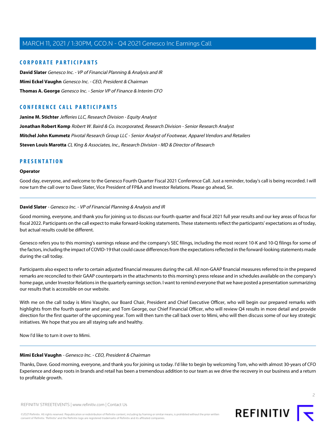## **CORPORATE PARTICIPANTS**

**[David Slater](#page-1-0)** Genesco Inc. - VP of Financial Planning & Analysis and IR **[Mimi Eckel Vaughn](#page-1-1)** Genesco Inc. - CEO, President & Chairman **[Thomas A. George](#page-4-0)** Genesco Inc. - Senior VP of Finance & Interim CFO

## **CONFERENCE CALL PARTICIPANTS**

**[Janine M. Stichter](#page-10-0)** Jefferies LLC, Research Division - Equity Analyst **[Jonathan Robert Komp](#page-8-0)** Robert W. Baird & Co. Incorporated, Research Division - Senior Research Analyst **[Mitchel John Kummetz](#page-11-0)** Pivotal Research Group LLC - Senior Analyst of Footwear, Apparel Vendors and Retailers **[Steven Louis Marotta](#page-7-0)** CL King & Associates, Inc., Research Division - MD & Director of Research

## **PRESENTATION**

## **Operator**

<span id="page-1-0"></span>Good day, everyone, and welcome to the Genesco Fourth Quarter Fiscal 2021 Conference Call. Just a reminder, today's call is being recorded. I will now turn the call over to Dave Slater, Vice President of FP&A and Investor Relations. Please go ahead, Sir.

#### **David Slater** - Genesco Inc. - VP of Financial Planning & Analysis and IR

Good morning, everyone, and thank you for joining us to discuss our fourth quarter and fiscal 2021 full year results and our key areas of focus for fiscal 2022. Participants on the call expect to make forward-looking statements. These statements reflect the participants' expectations as of today, but actual results could be different.

Genesco refers you to this morning's earnings release and the company's SEC filings, including the most recent 10-K and 10-Q filings for some of the factors, including the impact of COVID-19 that could cause differences from the expectations reflected in the forward-looking statements made during the call today.

Participants also expect to refer to certain adjusted financial measures during the call. All non-GAAP financial measures referred to in the prepared remarks are reconciled to their GAAP counterparts in the attachments to this morning's press release and in schedules available on the company's home page, under Investor Relations in the quarterly earnings section. I want to remind everyone that we have posted a presentation summarizing our results that is accessible on our website.

With me on the call today is Mimi Vaughn, our Board Chair, President and Chief Executive Officer, who will begin our prepared remarks with highlights from the fourth quarter and year; and Tom George, our Chief Financial Officer, who will review Q4 results in more detail and provide direction for the first quarter of the upcoming year. Tom will then turn the call back over to Mimi, who will then discuss some of our key strategic initiatives. We hope that you are all staying safe and healthy.

<span id="page-1-1"></span>Now I'd like to turn it over to Mimi.

## **Mimi Eckel Vaughn** - Genesco Inc. - CEO, President & Chairman

Thanks, Dave. Good morning, everyone, and thank you for joining us today. I'd like to begin by welcoming Tom, who with almost 30-years of CFO Experience and deep roots in brands and retail has been a tremendous addition to our team as we drive the recovery in our business and a return to profitable growth.

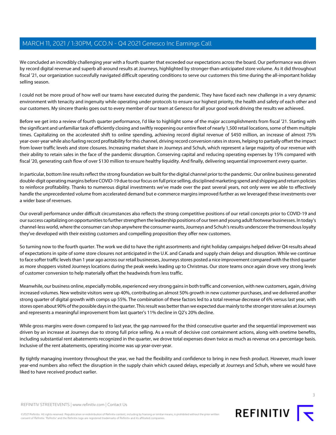We concluded an incredibly challenging year with a fourth quarter that exceeded our expectations across the board. Our performance was driven by record digital revenue and superb all-around results at Journeys, highlighted by stronger-than-anticipated store volume. As it did throughout fiscal '21, our organization successfully navigated difficult operating conditions to serve our customers this time during the all-important holiday selling season.

I could not be more proud of how well our teams have executed during the pandemic. They have faced each new challenge in a very dynamic environment with tenacity and ingenuity while operating under protocols to ensure our highest priority, the health and safety of each other and our customers. My sincere thanks goes out to every member of our team at Genesco for all your good work driving the results we achieved.

Before we get into a review of fourth quarter performance, I'd like to highlight some of the major accomplishments from fiscal '21. Starting with the significant and unfamiliar task of efficiently closing and swiftly reopening our entire fleet of nearly 1,500 retail locations, some of them multiple times. Capitalizing on the accelerated shift to online spending, achieving record digital revenue of \$450 million, an increase of almost 75% year-over-year while also fueling record profitability for this channel, driving record conversion rates in stores, helping to partially offset the impact from lower traffic levels and store closures. Increasing market share in Journeys and Schuh, which represent a large majority of our revenue with their ability to retain sales in the face of the pandemic disruption. Conserving capital and reducing operating expenses by 15% compared with fiscal '20, generating cash flow of over \$130 million to ensure healthy liquidity. And finally, delivering sequential improvement every quarter.

In particular, bottom line results reflect the strong foundation we built for the digital channel prior to the pandemic. Our online business generated double-digit operating margins before COVID-19 due to our focus on full price selling, disciplined marketing spend and shipping and return policies to reinforce profitability. Thanks to numerous digital investments we've made over the past several years, not only were we able to effectively handle the unprecedented volume from accelerated demand but e-commerce margins improved further as we leveraged these investments over a wider base of revenues.

Our overall performance under difficult circumstances also reflects the strong competitive positions of our retail concepts prior to COVID-19 and our success capitalizing on opportunities to further strengthen the leadership positions of our teen and young adult footwear businesses. In today's channel-less world, where the consumer can shop anywhere the consumer wants, Journeys and Schuh's results underscore the tremendous loyalty they've developed with their existing customers and compelling proposition they offer new customers.

So turning now to the fourth quarter. The work we did to have the right assortments and right holiday campaigns helped deliver Q4 results ahead of expectations in spite of some store closures not anticipated in the U.K. and Canada and supply chain delays and disruption. While we continue to face softer traffic levels than 1 year ago across our retail businesses, Journeys stores posted a nice improvement compared with the third quarter as more shoppers visited Journeys locations during the peak weeks leading up to Christmas. Our store teams once again drove very strong levels of customer conversion to help materially offset the headwinds from less traffic.

Meanwhile, our business online, especially mobile, experienced very strong gains in both traffic and conversion, with new customers, again, driving increased volumes. New website visitors were up 40%, contributing an almost 50% growth in new customer purchases, and we delivered another strong quarter of digital growth with comps up 55%. The combination of these factors led to a total revenue decrease of 6% versus last year, with stores open about 90% of the possible days in the quarter. This result was better than we expected due mainly to the stronger store sales at Journeys and represents a meaningful improvement from last quarter's 11% decline in Q2's 20% decline.

While gross margins were down compared to last year, the gap narrowed for the third consecutive quarter and the sequential improvement was driven by an increase at Journeys due to strong full price selling. As a result of decisive cost containment actions, along with onetime benefits, including substantial rent abatements recognized in the quarter, we drove total expenses down twice as much as revenue on a percentage basis. Inclusive of the rent abatements, operating income was up year-over-year.

By tightly managing inventory throughout the year, we had the flexibility and confidence to bring in new fresh product. However, much lower year-end numbers also reflect the disruption in the supply chain which caused delays, especially at Journeys and Schuh, where we would have liked to have received product earlier.

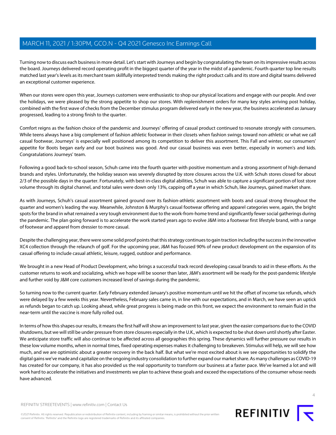Turning now to discuss each business in more detail. Let's start with Journeys and begin by congratulating the team on its impressive results across the board. Journeys delivered record operating profit in the biggest quarter of the year in the midst of a pandemic. Fourth quarter top line results matched last year's levels as its merchant team skillfully interpreted trends making the right product calls and its store and digital teams delivered an exceptional customer experience.

When our stores were open this year, Journeys customers were enthusiastic to shop our physical locations and engage with our people. And over the holidays, we were pleased by the strong appetite to shop our stores. With replenishment orders for many key styles arriving post holiday, combined with the first wave of checks from the December stimulus program delivered early in the new year, the business accelerated as January progressed, leading to a strong finish to the quarter.

Comfort reigns as the fashion choice of the pandemic and Journeys' offering of casual product continued to resonate strongly with consumers. While teens always have a big complement of fashion athletic footwear in their closets when fashion swings toward non-athletic or what we call casual footwear, Journeys' is especially well positioned among its competition to deliver this assortment. This Fall and winter, our consumers' appetite for Boots began early and our boot business was good. And our casual business was even better, especially in women's and kids. Congratulations Journeys' team.

Following a good back-to-school season, Schuh came into the fourth quarter with positive momentum and a strong assortment of high demand brands and styles. Unfortunately, the holiday season was severely disrupted by store closures across the U.K. with Schuh stores closed for about 2/3 of the possible days in the quarter. Fortunately, with best-in-class digital abilities, Schuh was able to capture a significant portion of lost store volume through its digital channel, and total sales were down only 13%, capping off a year in which Schuh, like Journeys, gained market share.

As with Journeys, Schuh's casual assortment gained ground over its fashion-athletic assortment with boots and casual strong throughout the quarter and women's leading the way. Meanwhile, Johnston & Murphy's casual footwear offering and apparel categories were, again, the bright spots for the brand in what remained a very tough environment due to the work-from-home trend and significantly fewer social gatherings during the pandemic. The plan going forward is to accelerate the work started years ago to evolve J&M into a footwear first lifestyle brand, with a range of footwear and apparel from dressier to more casual.

Despite the challenging year, there were some solid proof points that this strategy continues to gain traction including the success in the innovative XC4 collection through the relaunch of golf. For the upcoming year, J&M has focused 90% of new product development on the expansion of its casual offering to include casual athletic, leisure, rugged, outdoor and performance.

We brought in a new Head of Product Development, who brings a successful track record developing casual brands to aid in these efforts. As the customer returns to work and socializing, which we hope will be sooner than later, J&M's assortment will be ready for the post-pandemic lifestyle and further void by J&M core customers increased level of savings during the pandemic.

So turning now to the current quarter. Early February extended January's positive momentum until we hit the offset of income tax refunds, which were delayed by a few weeks this year. Nevertheless, February sales came in, in line with our expectations, and in March, we have seen an uptick as refunds began to catch up. Looking ahead, while great progress is being made on this front, we expect the environment to remain fluid in the near-term until the vaccine is more fully rolled out.

In terms of how this shapes our results, it means the first half will show an improvement to last year, given the easier comparisons due to the COVID shutdowns, but we will still be under pressure from store closures especially in the U.K., which is expected to be shut down until shortly after Easter. We anticipate store traffic will also continue to be affected across all geographies this spring. These dynamics will further pressure our results in these low volume months, when in normal times, fixed operating expenses makes it challenging to breakeven. Stimulus will help, we will see how much, and we are optimistic about a greater recovery in the back half. But what we're most excited about is we see opportunities to solidify the digital gains we've made and capitalize on the ongoing industry consolidation to further expand our market share. As many challenges as COVID-19 has created for our company, it has also provided us the real opportunity to transform our business at a faster pace. We've learned a lot and will work hard to accelerate the initiatives and investments we plan to achieve these goals and exceed the expectations of the consumer whose needs have advanced.

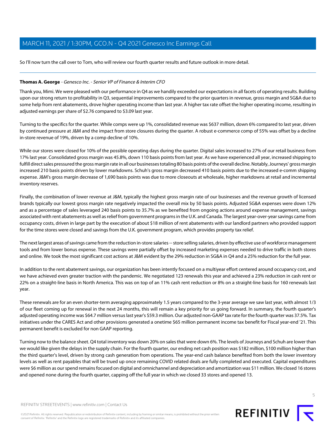So I'll now turn the call over to Tom, who will review our fourth quarter results and future outlook in more detail.

## <span id="page-4-0"></span>**Thomas A. George** - Genesco Inc. - Senior VP of Finance & Interim CFO

Thank you, Mimi. We were pleased with our performance in Q4 as we handily exceeded our expectations in all facets of operating results. Building upon our strong return to profitability in Q3, sequential improvements compared to the prior quarters in revenue, gross margin and SG&A due to some help from rent abatements, drove higher operating income than last year. A higher tax rate offset the higher operating income, resulting in adjusted earnings per share of \$2.76 compared to \$3.09 last year.

Turning to the specifics for the quarter. While comps were up 1%, consolidated revenue was \$637 million, down 6% compared to last year, driven by continued pressure at J&M and the impact from store closures during the quarter. A robust e-commerce comp of 55% was offset by a decline in-store revenue of 19%, driven by a comp decline of 10%.

While our stores were closed for 10% of the possible operating days during the quarter. Digital sales increased to 27% of our retail business from 17% last year. Consolidated gross margin was 45.8%, down 110 basis points from last year. As we have experienced all year, increased shipping to fulfill direct sales pressured the gross margin rate in all our businesses totaling 80 basis points of the overall decline. Notably, Journeys' gross margin increased 210 basis points driven by lower markdowns. Schuh's gross margin decreased 410 basis points due to the increased e-comm shipping expense. J&M's gross margin decrease of 1,690 basis points was due to more closeouts at wholesale, higher markdowns at retail and incremental inventory reserves.

Finally, the combination of lower revenue at J&M, typically the highest gross margin rate of our businesses and the revenue growth of licensed brands typically our lowest gross margin rate negatively impacted the overall mix by 50 basis points. Adjusted SG&A expenses were down 12% and as a percentage of sales leveraged 240 basis points to 35.7% as we benefited from ongoing actions around expense management, savings associated with rent abatements as well as relief from government programs in the U.K. and Canada. The largest year-over-year savings came from occupancy costs, driven in large part by the execution of about \$18 million of rent abatements with our landlord partners who provided support for the time stores were closed and savings from the U.K. government program, which provides property tax relief.

The next largest areas of savings came from the reduction in-store salaries -- store selling salaries, driven by effective use of workforce management tools and from lower bonus expense. These savings were partially offset by increased marketing expenses needed to drive traffic in both stores and online. We took the most significant cost actions at J&M evident by the 29% reduction in SG&A in Q4 and a 25% reduction for the full year.

In addition to the rent abatement savings, our organization has been intently focused on a multiyear effort centered around occupancy cost, and we have achieved even greater traction with the pandemic. We negotiated 123 renewals this year and achieved a 23% reduction in cash rent or 22% on a straight-line basis in North America. This was on top of an 11% cash rent reduction or 8% on a straight-line basis for 160 renewals last year.

These renewals are for an even shorter-term averaging approximately 1.5 years compared to the 3-year average we saw last year, with almost 1/3 of our fleet coming up for renewal in the next 24 months, this will remain a key priority for us going forward. In summary, the fourth quarter's adjusted operating income was \$64.7 million versus last year's \$59.3 million. Our adjusted non-GAAP tax rate for the fourth quarter was 37.5%. Tax initiatives under the CARES Act and other provisions generated a onetime \$65 million permanent income tax benefit for Fiscal year-end '21. This permanent benefit is excluded for non GAAP reporting.

Turning now to the balance sheet. Q4 total inventory was down 20% on sales that were down 6%. The levels of Journeys and Schuh are lower than we would like given the delays in the supply chain. For the fourth quarter, our ending net cash position was \$182 million, \$100 million higher than the third quarter's level, driven by strong cash generation from operations. The year-end cash balance benefited from both the lower inventory levels as well as rent payables that will be trued up once remaining COVID related deals are fully completed and executed. Capital expenditures were \$6 million as our spend remains focused on digital and omnichannel and depreciation and amortization was \$11 million. We closed 16 stores and opened none during the fourth quarter, capping off the full year in which we closed 33 stores and opened 13.

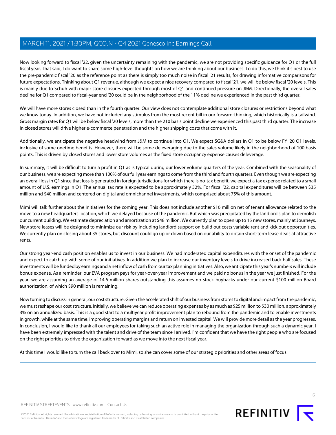Now looking forward to fiscal '22, given the uncertainty remaining with the pandemic, we are not providing specific guidance for Q1 or the full fiscal year. That said, I do want to share some high-level thoughts on how we are thinking about our business. To do this, we think it's best to use the pre-pandemic fiscal '20 as the reference point as there is simply too much noise in fiscal '21 results, for drawing informative comparisons for future expectations. Thinking about Q1 revenue, although we expect a nice recovery compared to fiscal '21, we will be below fiscal '20 levels. This is mainly due to Schuh with major store closures expected through most of Q1 and continued pressure on J&M. Directionally, the overall sales decline for Q1 compared to fiscal-year end '20 could be in the neighborhood of the 11% decline we experienced in the past third quarter.

We will have more stores closed than in the fourth quarter. Our view does not contemplate additional store closures or restrictions beyond what we know today. In addition, we have not included any stimulus from the most recent bill in our forward-thinking, which historically is a tailwind. Gross margin rates for Q1 will be below fiscal '20 levels, more than the 210 basis point decline we experienced this past third quarter. The increase in closed stores will drive higher e-commerce penetration and the higher shipping costs that come with it.

Additionally, we anticipate the negative headwind from J&M to continue into Q1. We expect SG&A dollars in Q1 to be below FY '20 Q1 levels, inclusive of some onetime benefits. However, there will be some deleveraging due to the sales volume likely in the neighborhood of 100 basis points. This is driven by closed stores and lower store volumes as the fixed store occupancy expense causes deleverage.

In summary, it will be difficult to turn a profit in Q1 as is typical during our lower volume quarters of the year. Combined with the seasonality of our business, we are expecting more than 100% of our full year earnings to come from the third and fourth quarters. Even though we are expecting an overall loss in Q1 since that loss is generated in foreign jurisdictions for which there is no-tax benefit, we expect a tax expense related to a small amount of U.S. earnings in Q1. The annual tax rate is expected to be approximately 32%. For fiscal '22, capital expenditures will be between \$35 million and \$40 million and centered on digital and omnichannel investments, which comprised about 75% of this amount.

Mimi will talk further about the initiatives for the coming year. This does not include another \$16 million net of tenant allowance related to the move to a new headquarters location, which we delayed because of the pandemic. But which was precipitated by the landlord's plan to demolish our current building. We estimate depreciation and amortization at \$48 million. We currently plan to open up to 15 new stores, mainly at Journeys. New store leases will be designed to minimize our risk by including landlord support on build out costs variable rent and kick out opportunities. We currently plan on closing about 35 stores, but discount could go up or down based on our ability to obtain short-term lease deals at attractive rents.

Our strong year-end cash position enables us to invest in our business. We had moderated capital expenditures with the onset of the pandemic and expect to catch up with some of our initiatives. In addition we plan to increase our inventory levels to drive increased back half sales. These investments will be funded by earnings and a net inflow of cash from our tax planning initiatives. Also, we anticipate this year's numbers will include bonus expense. As a reminder, our EVA program pays for year-over-year improvement and we paid no bonus in the year we just finished. For the year, we are assuming an average of 14.6 million shares outstanding this assumes no stock buybacks under our current \$100 million Board authorization, of which \$90 million is remaining.

Now turning to discuss in general, our cost structure. Given the accelerated shift of our business from stores to digital and impact from the pandemic, we must reshape our cost structure. Initially, we believe we can reduce operating expenses by as much as \$25 million to \$30 million, approximately 3% on an annualized basis. This is a good start to a multiyear profit improvement plan to rebound from the pandemic and to enable investments in growth, while at the same time, improving operating margins and return on invested capital. We will provide more detail as the year progresses. In conclusion, I would like to thank all our employees for taking such an active role in managing the organization through such a dynamic year. I have been extremely impressed with the talent and drive of the team since I arrived. I'm confident that we have the right people who are focused on the right priorities to drive the organization forward as we move into the next fiscal year.

At this time I would like to turn the call back over to Mimi, so she can cover some of our strategic priorities and other areas of focus.



©2021 Refinitiv. All rights reserved. Republication or redistribution of Refinitiv content, including by framing or similar means, is prohibited without the prior written consent of Refinitiv. 'Refinitiv' and the Refinitiv logo are registered trademarks of Refinitiv and its affiliated companies.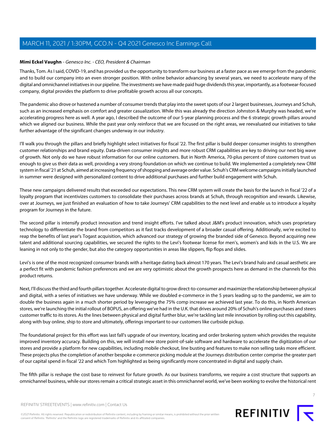## **Mimi Eckel Vaughn** - Genesco Inc. - CEO, President & Chairman

Thanks, Tom. As I said, COVID-19, and has provided us the opportunity to transform our business at a faster pace as we emerge from the pandemic and to build our company into an even stronger position. With online behavior advancing by several years, we need to accelerate many of the digital and omnichannel initiatives in our pipeline. The investments we have made paid huge dividends this year, importantly, as a footwear-focused company, digital provides the platform to drive profitable growth across all our concepts.

The pandemic also drove or hastened a number of consumer trends that play into the sweet spots of our 2 largest businesses, Journeys and Schuh, such as an increased emphasis on comfort and greater casualization. While this was already the direction Johnston & Murphy was headed, we're accelerating progress here as well. A year ago, I described the outcome of our 5-year planning process and the 6 strategic growth pillars around which we aligned our business. While the past year only reinforce that we are focused on the right areas, we reevaluated our initiatives to take further advantage of the significant changes underway in our industry.

I'll walk you through the pillars and briefly highlight select initiatives for fiscal '22. The first pillar is build deeper consumer insights to strengthen customer relationships and brand equity. Data-driven consumer insights and more robust CRM capabilities are key to driving our next big wave of growth. Not only do we have robust information for our online customers. But in North America, 70-plus percent of store customers trust us enough to give us their data as well, providing a very strong foundation on which we continue to build. We implemented a completely new CRM system in fiscal '21 at Schuh, aimed at increasing frequency of shopping and average order value. Schuh's CRM welcome campaigns initially launched in summer were designed with personalized content to drive additional purchases and further build engagement with Schuh.

These new campaigns delivered results that exceeded our expectations. This new CRM system will create the basis for the launch in fiscal '22 of a loyalty program that incentivizes customers to consolidate their purchases across brands at Schuh, through recognition and rewards. Likewise, over at Journeys, we just finished an evaluation of how to take Journeys' CRM capabilities to the next level and enable us to introduce a loyalty program for Journeys in the future.

The second pillar is intensify product innovation and trend insight efforts. I've talked about J&M's product innovation, which uses proprietary technology to differentiate the brand from competitors as it fast tracks development of a broader casual offering. Additionally, we're excited to reap the benefits of last year's Togast acquisition, which advanced our strategy of growing the branded side of Genesco. Beyond acquiring new talent and additional sourcing capabilities, we secured the rights to the Levi's footwear license for men's, women's and kids in the U.S. We are leaning in not only to the gender, but also the category opportunities in areas like slippers, flip flops and slides.

Levi's is one of the most recognized consumer brands with a heritage dating back almost 170 years. The Levi's brand halo and casual aesthetic are a perfect fit with pandemic fashion preferences and we are very optimistic about the growth prospects here as demand in the channels for this product returns.

Next, I'll discuss the third and fourth pillars together. Accelerate digital to grow direct-to-consumer and maximize the relationship between physical and digital, with a series of initiatives we have underway. While we doubled e-commerce in the 5 years leading up to the pandemic, we aim to double the business again in a much shorter period by leveraging the 75% comp increase we achieved last year. To do this, in North American stores, we're launching the initial rollout of BOPUS, an offering we've had in the U.K. that drives around 20% of Schuh's online purchases and steers customer traffic to its stores. As the lines between physical and digital further blur, we're tackling last mile innovation by rolling out this capability, along with buy online, ship to store and ultimately, offerings important to our customers like curbside pickup.

The foundational project for this effort was last fall's upgrade of our inventory, locating and order brokering system which provides the requisite improved inventory accuracy. Building on this, we will install new store point-of-sale software and hardware to accelerate the digitization of our stores and provide a platform for new capabilities, including mobile checkout, line busting and features to make non selling tasks more efficient. These projects plus the completion of another bespoke e-commerce picking module at the Journeys distribution center comprise the greater part of our capital spend in fiscal '22 and which Tom highlighted as being significantly more concentrated in digital and supply chain.

The fifth pillar is reshape the cost base to reinvest for future growth. As our business transforms, we require a cost structure that supports an omnichannel business, while our stores remain a critical strategic asset in this omnichannel world, we've been working to evolve the historical rent



7

REFINITIV STREETEVENTS | [www.refinitiv.com](https://www.refinitiv.com/) | [Contact Us](https://www.refinitiv.com/en/contact-us)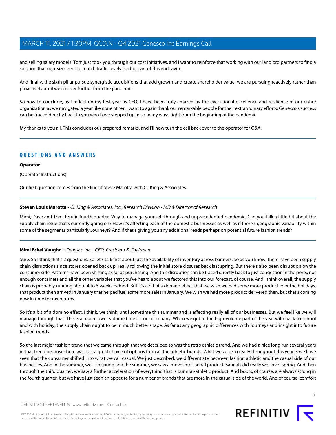and selling salary models. Tom just took you through our cost initiatives, and I want to reinforce that working with our landlord partners to find a solution that rightsizes rent to match traffic levels is a big part of this endeavor.

And finally, the sixth pillar pursue synergistic acquisitions that add growth and create shareholder value, we are pursuing reactively rather than proactively until we recover further from the pandemic.

So now to conclude, as I reflect on my first year as CEO, I have been truly amazed by the executional excellence and resilience of our entire organization as we navigated a year like none other. I want to again thank our remarkable people for their extraordinary efforts. Genesco's success can be traced directly back to you who have stepped up in so many ways right from the beginning of the pandemic.

My thanks to you all. This concludes our prepared remarks, and I'll now turn the call back over to the operator for Q&A.

## **QUESTIONS AND ANSWERS**

## **Operator**

(Operator Instructions)

<span id="page-7-0"></span>Our first question comes from the line of Steve Marotta with CL King & Associates.

## **Steven Louis Marotta** - CL King & Associates, Inc., Research Division - MD & Director of Research

Mimi, Dave and Tom, terrific fourth quarter. Way to manage your sell-through and unprecedented pandemic. Can you talk a little bit about the supply chain issue that's currently going on? How it's affecting each of the domestic businesses as well as if there's geographic variability within some of the segments particularly Journeys? And if that's giving you any additional reads perhaps on potential future fashion trends?

## **Mimi Eckel Vaughn** - Genesco Inc. - CEO, President & Chairman

Sure. So I think that's 2 questions. So let's talk first about just the availability of inventory across banners. So as you know, there have been supply chain disruptions since stores opened back up, really following the initial store closures back last spring. But there's also been disruption on the consumer side. Patterns have been shifting as far as purchasing. And this disruption can be traced directly back to just congestion in the ports, not enough containers and all the other variables that you've heard about we factored this into our forecast, of course. And I think overall, the supply chain is probably running about 4 to 6 weeks behind. But it's a bit of a domino effect that we wish we had some more product over the holidays, that product then arrived in January that helped fuel some more sales in January. We wish we had more product delivered then, but that's coming now in time for tax returns.

So it's a bit of a domino effect, I think, we think, until sometime this summer and is affecting really all of our businesses. But we feel like we will manage through that. This is a much lower volume time for our company. When we get to the high-volume part of the year with back-to-school and with holiday, the supply chain ought to be in much better shape. As far as any geographic differences with Journeys and insight into future fashion trends.

So the last major fashion trend that we came through that we described to was the retro athletic trend. And we had a nice long run several years in that trend because there was just a great choice of options from all the athletic brands. What we've seen really throughout this year is we have seen that the consumer shifted into what we call casual. We just described, we differentiate between fashion athletic and the casual side of our businesses. And in the summer, we -- in spring and the summer, we saw a move into sandal product. Sandals did really well over spring. And then through the third quarter, we saw a further acceleration of everything that is our non-athletic product. And boots, of course, are always strong in the fourth quarter, but we have just seen an appetite for a number of brands that are more in the casual side of the world. And of course, comfort

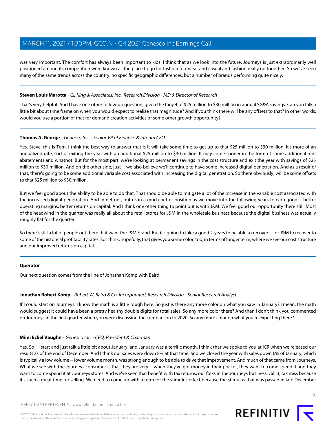was very important. The comfort has always been important to kids. I think that as we look into the future, Journeys is just extraordinarily well positioned among its competition were known as the place to go for fashion footwear and casual and fashion really go together. So we've seen many of the same trends across the country, no specific geographic differences, but a number of brands performing quite nicely.

## **Steven Louis Marotta** - CL King & Associates, Inc., Research Division - MD & Director of Research

That's very helpful. And I have one other follow-up question, given the target of \$25 million to \$30 million in annual SG&A savings. Can you talk a little bit about time frame on when you would expect to realize that magnitude? And if you think there will be any offsets to that? In other words, would you use a portion of that for demand creation activities or some other growth opportunity?

#### **Thomas A. George** - Genesco Inc. - Senior VP of Finance & Interim CFO

Yes, Steve, this is Tom. I think the best way to answer that is it will take some time to get up to that \$25 million to \$30 million. It's more of an annualized rate, sort of exiting the year with an additional \$25 million to \$30 million. It may come sooner in the form of some additional rent abatements and whatnot. But for the most part, we're looking at permanent savings in the cost structure and exit the year with savings of \$25 million to \$30 million. And on the other side, just -- we also believe we'll continue to have some increased digital penetration. And as a result of that, there's going to be some additional variable cost associated with increasing the digital penetration. So there obviously, will be some offsets to that \$25 million to \$30 million.

But we feel good about the ability to be able to do that. That should be able to mitigate a lot of the increase in the variable cost associated with the increased digital penetration. And in net-net, put us in a much better position as we move into the following years to earn good -- better operating margins, better returns on capital. And I think one other thing to point out is with J&M. We feel good our opportunity there still. Most of the headwind in the quarter was really all about the retail stores for J&M in the wholesale business because the digital business was actually roughly flat for the quarter.

So there's still a lot of people out there that want the J&M brand. But it's going to take a good 2-years to be able to recover -- for J&M to recover to some of the historical profitability rates. So I think, hopefully, that gives you some color, too, in terms of longer term, where we see our cost structure and our improved returns on capital.

#### <span id="page-8-0"></span>**Operator**

Our next question comes from the line of Jonathan Komp with Baird.

#### **Jonathan Robert Komp** - Robert W. Baird & Co. Incorporated, Research Division - Senior Research Analyst

If I could start on Journeys. I know the math is a little rough here. So just is there any more color on what you saw in January? I mean, the math would suggest it could have been a pretty healthy double digits for total sales. So any more color there? And then I don't think you commented on Journeys in the first quarter when you were discussing the comparison to 2020. So any more color on what you're expecting there?

#### **Mimi Eckel Vaughn** - Genesco Inc. - CEO, President & Chairman

Yes. So I'll start and just talk a little bit about January, and January was a terrific month. I think that we spoke to you at ICR when we released our results as of the end of December. And I think our sales were down 8% at that time, and we closed the year with sales down 6% of January, which is typically a low volume -- lower volume month, was strong enough to be able to drive that improvement. And much of that came from Journeys. What we see with the Journeys consumer is that they are very -- when they've got money in their pocket, they want to come spend it and they want to come spend it at Journeys stores. And we've seen that benefit with tax returns, our folks in the Journeys business, call it, tax miss because it's such a great time for selling. We need to come up with a term for the stimulus effect because the stimulus that was passed in late December

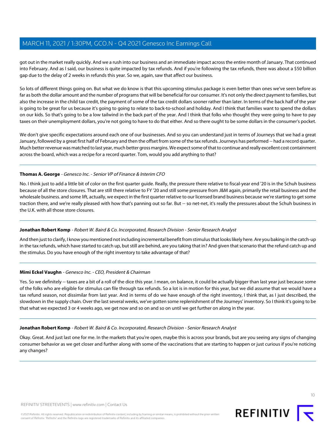got out in the market really quickly. And we a rush into our business and an immediate impact across the entire month of January. That continued into February. And as I said, our business is quite impacted by tax refunds. And if you're following the tax refunds, there was about a \$50 billion gap due to the delay of 2 weeks in refunds this year. So we, again, saw that affect our business.

So lots of different things going on. But what we do know is that this upcoming stimulus package is even better than ones we've seen before as far as both the dollar amount and the number of programs that will be beneficial for our consumer. It's not only the direct payment to families, but also the increase in the child tax credit, the payment of some of the tax credit dollars sooner rather than later. In terms of the back half of the year is going to be great for us because it's going to going to relate to back-to-school and holiday. And I think that families want to spend the dollars on our kids. So that's going to be a low tailwind in the back part of the year. And I think that folks who thought they were going to have to pay taxes on their unemployment dollars, you're not going to have to do that either. And so there ought to be some dollars in the consumer's pocket.

We don't give specific expectations around each one of our businesses. And so you can understand just in terms of Journeys that we had a great January, followed by a great first half of February and then the offset from some of the tax refunds. Journeys has performed -- had a record quarter. Much better revenue was matched to last year, much better gross margins. We expect some of that to continue and really excellent cost containment across the board, which was a recipe for a record quarter. Tom, would you add anything to that?

## **Thomas A. George** - Genesco Inc. - Senior VP of Finance & Interim CFO

No. I think just to add a little bit of color on the first quarter guide. Really, the pressure there relative to fiscal-year end '20 is in the Schuh business because of all the store closures. That are still there relative to FY '20 and still some pressure from J&M again, primarily the retail business and the wholesale business. and some lift, actually, we expect in the first quarter relative to our licensed brand business because we're starting to get some traction there, and we're really pleased with how that's panning out so far. But -- so net-net, it's really the pressures about the Schuh business in the U.K. with all those store closures.

## **Jonathan Robert Komp** - Robert W. Baird & Co. Incorporated, Research Division - Senior Research Analyst

And then just to clarify, I know you mentioned not including incremental benefit from stimulus that looks likely here. Are you baking in the catch-up in the tax refunds, which have started to catch up, but still are behind, are you taking that in? And given that scenario that the refund catch up and the stimulus. Do you have enough of the right inventory to take advantage of that?

## **Mimi Eckel Vaughn** - Genesco Inc. - CEO, President & Chairman

Yes. So we definitely -- taxes are a bit of a roll of the dice this year. I mean, on balance, it could be actually bigger than last year just because some of the folks who are eligible for stimulus can file through tax refunds. So a lot is in motion for this year, but we did assume that we would have a tax refund season, not dissimilar from last year. And in terms of do we have enough of the right inventory, I think that, as I just described, the slowdown in the supply chain. Over the last several weeks, we've gotten some replenishment of the Journeys' inventory. So I think it's going to be that what we expected 3 or 4 weeks ago, we get now and so on and so on until we get further on along in the year.

## **Jonathan Robert Komp** - Robert W. Baird & Co. Incorporated, Research Division - Senior Research Analyst

Okay. Great. And just last one for me. In the markets that you're open, maybe this is across your brands, but are you seeing any signs of changing consumer behavior as we get closer and further along with some of the vaccinations that are starting to happen or just curious if you're noticing any changes?

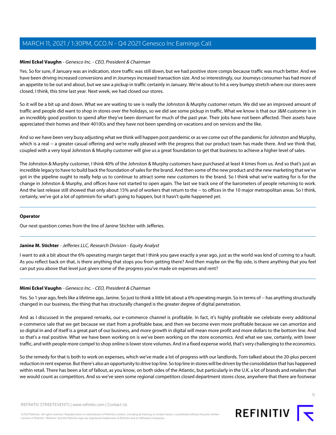## **Mimi Eckel Vaughn** - Genesco Inc. - CEO, President & Chairman

Yes. So for sure, if January was an indication, store traffic was still down, but we had positive store comps because traffic was much better. And we have been driving increased conversions and in Journeys increased transaction size. And so interestingly, our Journeys consumer has had more of an appetite to be out and about, but we saw a pickup in traffic certainly in January. We're about to hit a very bumpy stretch where our stores were closed, I think, this time last year. Next week, we had closed our stores.

So it will be a bit up and down. What we are waiting to see is really the Johnston & Murphy customer return. We did see an improved amount of traffic and people did want to shop in stores over the holidays, so we did see some pickup in traffic. What we know is that our J&M customer is in an incredibly good position to spend after they've been dormant for much of the past year. Their jobs have not been affected. Their assets have appreciated their homes and their 401(K)s and they have not been spending on vacations and on services and the like.

And so we have been very busy adjusting what we think will happen post pandemic or as we come out of the pandemic for Johnston and Murphy, which is a real -- a greater casual offering and we're really pleased with the progress that our product team has made there. And we think that, coupled with a very loyal Johnston & Murphy customer will give us a great foundation to get that business to achieve a higher level of sales.

The Johnston & Murphy customer, I think 40% of the Johnston & Murphy customers have purchased at least 4 times from us. And so that's just an incredible legacy to have to build back the foundation of sales for the brand. And then some of the new product and the new marketing that we've got in the pipeline ought to really help us to continue to attract some new customers to the brand. So I think what we're waiting for is for the change in Johnston & Murphy, and offices have not started to open again. The last we track one of the barometers of people returning to work. And the last release still showed that only about 15% and of workers that return to the -- to offices in the 10 major metropolitan areas. So I think, certainly, we've got a lot of optimism for what's going to happen, but it hasn't quite happened yet.

#### <span id="page-10-0"></span>**Operator**

Our next question comes from the line of Janine Stichter with Jefferies.

## **Janine M. Stichter** - Jefferies LLC, Research Division - Equity Analyst

I want to ask a bit about the 6% operating margin target that I think you gave exactly a year ago, just as the world was kind of coming to a hault. As you reflect back on that, is there anything that stops you from getting there? And then maybe on the flip side, is there anything that you feel can put you above that level just given some of the progress you've made on expenses and rent?

## **Mimi Eckel Vaughn** - Genesco Inc. - CEO, President & Chairman

Yes. So 1 year ago, feels like a lifetime ago, Janine. So just to think a little bit about a 6% operating margin. So in terms of -- has anything structurally changed in our business, the thing that has structurally changed is the greater degree of digital penetration.

And as I discussed in the prepared remarks, our e-commerce channel is profitable. In fact, it's highly profitable we celebrate every additional e-commerce sale that we get because we start from a profitable base, and then we become even more profitable because we can amortize and so digital in and of itself is a great part of our business, and more growth in digital will mean more profit and more dollars to the bottom line. And so that's a real positive. What we have been working on is we've been working on the store economics. And what we saw, certainly, with lower traffic, and with people more compel to shop online is lower store volumes. And in a fixed expense world, that's very challenging to the economics.

So the remedy for that is both to work on expenses, which we've made a lot of progress with our landlords. Tom talked about the 20-plus percent reduction in rent expense. But there's also an opportunity to drive top line. So top line in stores will be driven by the consolidation that has happened within retail. There has been a lot of fallout, as you know, on both sides of the Atlantic, but particularly in the U.K. a lot of brands and retailers that we would count as competitors. And so we've seen some regional competitors closed department stores close, anywhere that there are footwear

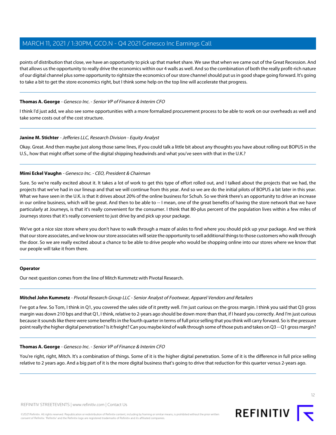points of distribution that close, we have an opportunity to pick up that market share. We saw that when we came out of the Great Recession. And that allows us the opportunity to really drive the economics within our 4 walls as well. And so the combination of both the really profit-rich nature of our digital channel plus some opportunity to rightsize the economics of our store channel should put us in good shape going forward. It's going to take a bit to get the store economics right, but I think some help on the top line will accelerate that progress.

## **Thomas A. George** - Genesco Inc. - Senior VP of Finance & Interim CFO

I think I'd just add, we also see some opportunities with a more formalized procurement process to be able to work on our overheads as well and take some costs out of the cost structure.

## **Janine M. Stichter** - Jefferies LLC, Research Division - Equity Analyst

Okay. Great. And then maybe just along those same lines, if you could talk a little bit about any thoughts you have about rolling out BOPUS in the U.S., how that might offset some of the digital shipping headwinds and what you've seen with that in the U.K.?

## **Mimi Eckel Vaughn** - Genesco Inc. - CEO, President & Chairman

Sure. So we're really excited about it. It takes a lot of work to get this type of effort rolled out, and I talked about the projects that we had, the projects that we've had in our lineup and that we will continue from this year. And so we are do the initial pilots of BOPUS a bit later in this year. What we have seen in the U.K. is that it drives about 20% of the online business for Schuh. So we think there's an opportunity to drive an increase in our online business, which will be great. And then to be able to -- I mean, one of the great benefits of having the store network that we have particularly at Journeys, is that it's really convenient for the consumer. I think that 80-plus percent of the population lives within a few miles of Journeys stores that it's really convenient to just drive by and pick up your package.

We've got a nice size store where you don't have to walk through a maze of aisles to find where you should pick up your package. And we think that our store associates, and we know our store associates will seize the opportunity to sell additional things to those customers who walk through the door. So we are really excited about a chance to be able to drive people who would be shopping online into our stores where we know that our people will take it from there.

## <span id="page-11-0"></span>**Operator**

Our next question comes from the line of Mitch Kummetz with Pivotal Research.

## **Mitchel John Kummetz** - Pivotal Research Group LLC - Senior Analyst of Footwear, Apparel Vendors and Retailers

I've got a few. So Tom, I think in Q1, you covered the sales side of it pretty well. I'm just curious on the gross margin. I think you said that Q3 gross margin was down 210 bps and that Q1, I think, relative to 2-years ago should be down more than that, if I heard you correctly. And I'm just curious because it sounds like there were some benefits in the fourth quarter in terms of full price selling that you think will carry forward. So is the pressure point really the higher digital penetration? Is it freight? Can you maybe kind of walk through some of those puts and takes on Q3 -- Q1 gross margin?

## **Thomas A. George** - Genesco Inc. - Senior VP of Finance & Interim CFO

You're right, right, Mitch. It's a combination of things. Some of it is the higher digital penetration. Some of it is the difference in full price selling relative to 2 years ago. And a big part of it is the more digital business that's going to drive that reduction for this quarter versus 2-years ago.

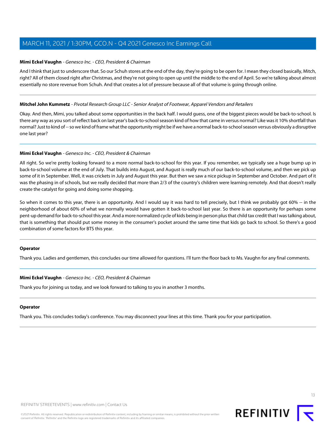#### **Mimi Eckel Vaughn** - Genesco Inc. - CEO, President & Chairman

And I think that just to underscore that. So our Schuh stores at the end of the day, they're going to be open for. I mean they closed basically, Mitch, right? All of them closed right after Christmas, and they're not going to open up until the middle to the end of April. So we're talking about almost essentially no store revenue from Schuh. And that creates a lot of pressure because all of that volume is going through online.

#### **Mitchel John Kummetz** - Pivotal Research Group LLC - Senior Analyst of Footwear, Apparel Vendors and Retailers

Okay. And then, Mimi, you talked about some opportunities in the back half. I would guess, one of the biggest pieces would be back-to-school. Is there any way as you sort of reflect back on last year's back-to-school season kind of how that came in versus normal? Like was it 10% shortfall than normal? Just to kind of -- so we kind of frame what the opportunity might be if we have a normal back-to-school season versus obviously a disruptive one last year?

#### **Mimi Eckel Vaughn** - Genesco Inc. - CEO, President & Chairman

All right. So we're pretty looking forward to a more normal back-to-school for this year. If you remember, we typically see a huge bump up in back-to-school volume at the end of July. That builds into August, and August is really much of our back-to-school volume, and then we pick up some of it in September. Well, it was crickets in July and August this year. But then we saw a nice pickup in September and October. And part of it was the phasing in of schools, but we really decided that more than 2/3 of the country's children were learning remotely. And that doesn't really create the catalyst for going and doing some shopping.

So when it comes to this year, there is an opportunity. And I would say it was hard to tell precisely, but I think we probably got 60% -- in the neighborhood of about 60% of what we normally would have gotten it back-to-school last year. So there is an opportunity for perhaps some pent-up demand for back-to-school this year. And a more normalized cycle of kids being in person plus that child tax credit that I was talking about, that is something that should put some money in the consumer's pocket around the same time that kids go back to school. So there's a good combination of some factors for BTS this year.

#### **Operator**

Thank you. Ladies and gentlemen, this concludes our time allowed for questions. I'll turn the floor back to Ms. Vaughn for any final comments.

#### **Mimi Eckel Vaughn** - Genesco Inc. - CEO, President & Chairman

Thank you for joining us today, and we look forward to talking to you in another 3 months.

## **Operator**

Thank you. This concludes today's conference. You may disconnect your lines at this time. Thank you for your participation.



13